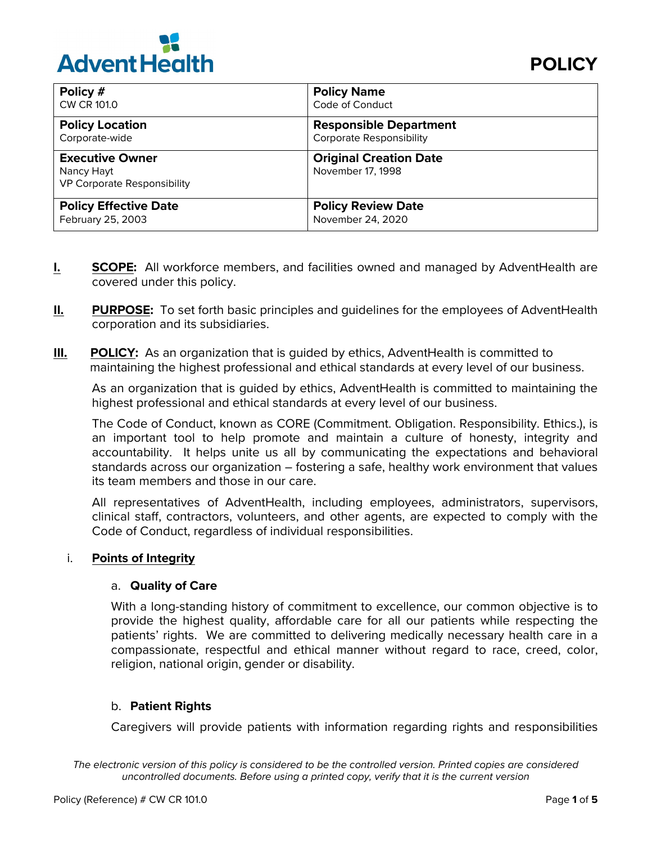

| Policy #                                                                   | <b>Policy Name</b>                                 |
|----------------------------------------------------------------------------|----------------------------------------------------|
| CW CR 101.0                                                                | Code of Conduct                                    |
| <b>Policy Location</b>                                                     | <b>Responsible Department</b>                      |
| Corporate-wide                                                             | <b>Corporate Responsibility</b>                    |
| <b>Executive Owner</b><br>Nancy Hayt<br><b>VP Corporate Responsibility</b> | <b>Original Creation Date</b><br>November 17, 1998 |
| <b>Policy Effective Date</b>                                               | <b>Policy Review Date</b>                          |
| February 25, 2003                                                          | November 24, 2020                                  |

- **I. SCOPE:** All workforce members, and facilities owned and managed by AdventHealth are covered under this policy.
- **II. PURPOSE:** To set forth basic principles and guidelines for the employees of AdventHealth corporation and its subsidiaries.
- **III.** POLICY: As an organization that is quided by ethics, AdventHealth is committed to maintaining the highest professional and ethical standards at every level of our business.

As an organization that is guided by ethics, AdventHealth is committed to maintaining the highest professional and ethical standards at every level of our business.

The Code of Conduct, known as CORE (Commitment. Obligation. Responsibility. Ethics.), is an important tool to help promote and maintain a culture of honesty, integrity and accountability. It helps unite us all by communicating the expectations and behavioral standards across our organization – fostering a safe, healthy work environment that values its team members and those in our care.

All representatives of AdventHealth, including employees, administrators, supervisors, clinical staff, contractors, volunteers, and other agents, are expected to comply with the Code of Conduct, regardless of individual responsibilities.

### i. **Points of Integrity**

# a. **Quality of Care**

With a long-standing history of commitment to excellence, our common objective is to provide the highest quality, affordable care for all our patients while respecting the patients' rights. We are committed to delivering medically necessary health care in a compassionate, respectful and ethical manner without regard to race, creed, color, religion, national origin, gender or disability.

# b. **Patient Rights**

Caregivers will provide patients with information regarding rights and responsibilities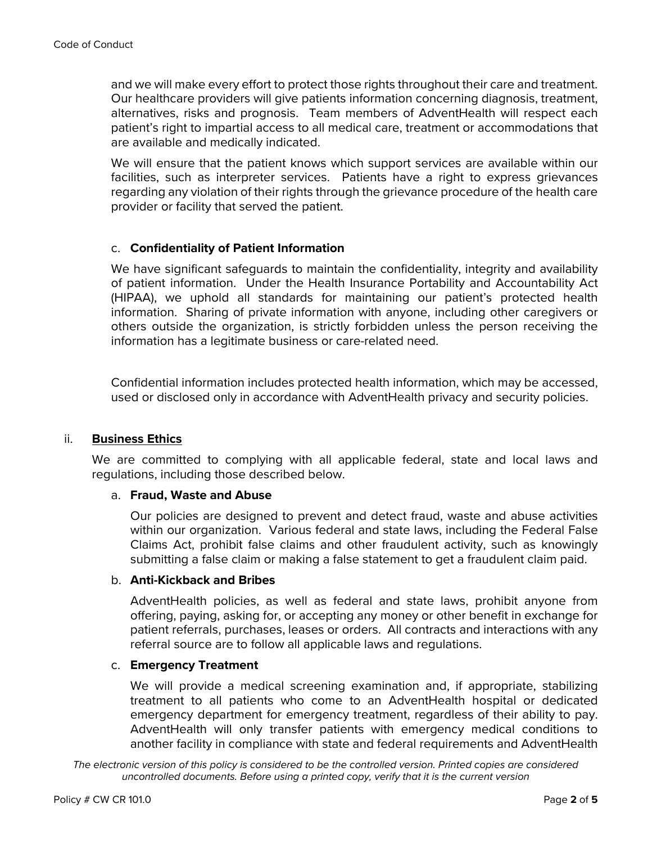and we will make every effort to protect those rights throughout their care and treatment. Our healthcare providers will give patients information concerning diagnosis, treatment, alternatives, risks and prognosis. Team members of AdventHealth will respect each patient's right to impartial access to all medical care, treatment or accommodations that are available and medically indicated.

We will ensure that the patient knows which support services are available within our facilities, such as interpreter services. Patients have a right to express grievances regarding any violation of their rights through the grievance procedure of the health care provider or facility that served the patient.

# c. **Confidentiality of Patient Information**

We have significant safeguards to maintain the confidentiality, integrity and availability of patient information. Under the Health Insurance Portability and Accountability Act (HIPAA), we uphold all standards for maintaining our patient's protected health information. Sharing of private information with anyone, including other caregivers or others outside the organization, is strictly forbidden unless the person receiving the information has a legitimate business or care-related need.

Confidential information includes protected health information, which may be accessed, used or disclosed only in accordance with AdventHealth privacy and security policies.

# ii. **Business Ethics**

We are committed to complying with all applicable federal, state and local laws and regulations, including those described below.

### a. **Fraud, Waste and Abuse**

Our policies are designed to prevent and detect fraud, waste and abuse activities within our organization. Various federal and state laws, including the Federal False Claims Act, prohibit false claims and other fraudulent activity, such as knowingly submitting a false claim or making a false statement to get a fraudulent claim paid.

### b. **Anti-Kickback and Bribes**

AdventHealth policies, as well as federal and state laws, prohibit anyone from offering, paying, asking for, or accepting any money or other benefit in exchange for patient referrals, purchases, leases or orders. All contracts and interactions with any referral source are to follow all applicable laws and regulations.

### c. **Emergency Treatment**

We will provide a medical screening examination and, if appropriate, stabilizing treatment to all patients who come to an AdventHealth hospital or dedicated emergency department for emergency treatment, regardless of their ability to pay. AdventHealth will only transfer patients with emergency medical conditions to another facility in compliance with state and federal requirements and AdventHealth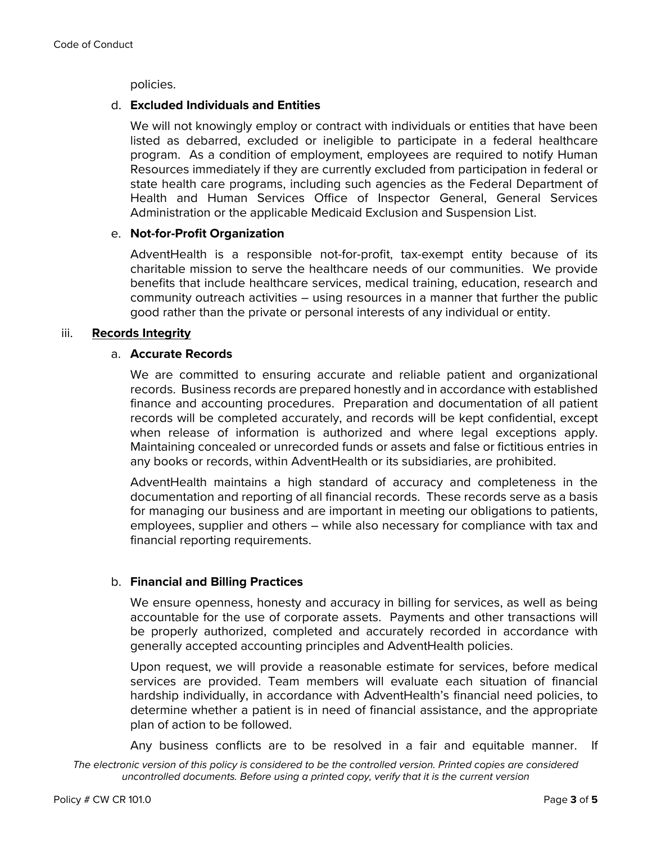policies.

# d. **Excluded Individuals and Entities**

We will not knowingly employ or contract with individuals or entities that have been listed as debarred, excluded or ineligible to participate in a federal healthcare program. As a condition of employment, employees are required to notify Human Resources immediately if they are currently excluded from participation in federal or state health care programs, including such agencies as the Federal Department of Health and Human Services Office of Inspector General, General Services Administration or the applicable Medicaid Exclusion and Suspension List.

# e. **Not-for-Profit Organization**

AdventHealth is a responsible not-for-profit, tax-exempt entity because of its charitable mission to serve the healthcare needs of our communities. We provide benefits that include healthcare services, medical training, education, research and community outreach activities – using resources in a manner that further the public good rather than the private or personal interests of any individual or entity.

# iii. **Records Integrity**

# a. **Accurate Records**

We are committed to ensuring accurate and reliable patient and organizational records. Business records are prepared honestly and in accordance with established finance and accounting procedures. Preparation and documentation of all patient records will be completed accurately, and records will be kept confidential, except when release of information is authorized and where legal exceptions apply. Maintaining concealed or unrecorded funds or assets and false or fictitious entries in any books or records, within AdventHealth or its subsidiaries, are prohibited.

AdventHealth maintains a high standard of accuracy and completeness in the documentation and reporting of all financial records. These records serve as a basis for managing our business and are important in meeting our obligations to patients, employees, supplier and others – while also necessary for compliance with tax and financial reporting requirements.

# b. **Financial and Billing Practices**

We ensure openness, honesty and accuracy in billing for services, as well as being accountable for the use of corporate assets. Payments and other transactions will be properly authorized, completed and accurately recorded in accordance with generally accepted accounting principles and AdventHealth policies.

Upon request, we will provide a reasonable estimate for services, before medical services are provided. Team members will evaluate each situation of financial hardship individually, in accordance with AdventHealth's financial need policies, to determine whether a patient is in need of financial assistance, and the appropriate plan of action to be followed.

Any business conflicts are to be resolved in a fair and equitable manner. If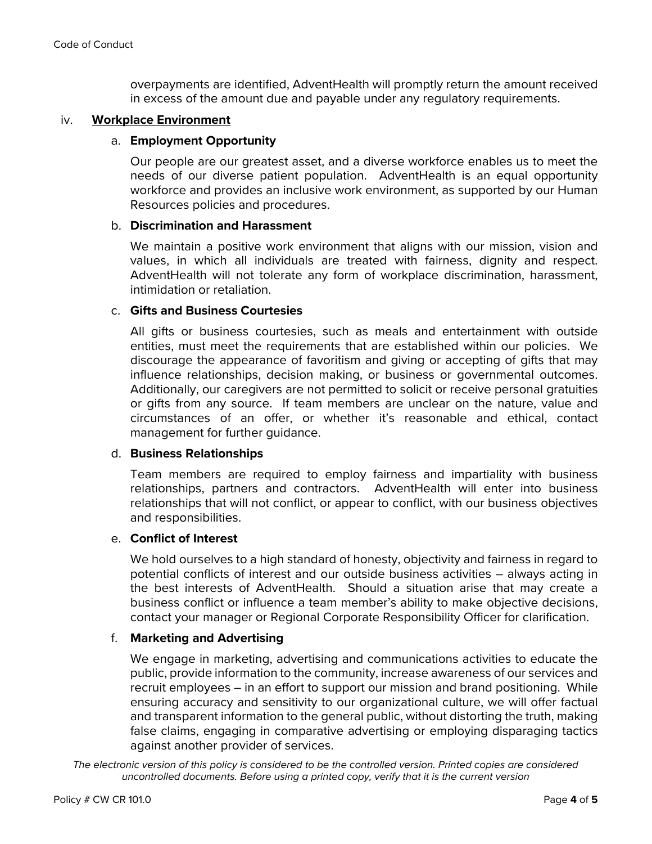overpayments are identified, AdventHealth will promptly return the amount received in excess of the amount due and payable under any regulatory requirements.

### iv. **Workplace Environment**

# a. **Employment Opportunity**

Our people are our greatest asset, and a diverse workforce enables us to meet the needs of our diverse patient population. AdventHealth is an equal opportunity workforce and provides an inclusive work environment, as supported by our Human Resources policies and procedures.

### b. **Discrimination and Harassment**

We maintain a positive work environment that aligns with our mission, vision and values, in which all individuals are treated with fairness, dignity and respect. AdventHealth will not tolerate any form of workplace discrimination, harassment, intimidation or retaliation.

### c. **Gifts and Business Courtesies**

All gifts or business courtesies, such as meals and entertainment with outside entities, must meet the requirements that are established within our policies. We discourage the appearance of favoritism and giving or accepting of gifts that may influence relationships, decision making, or business or governmental outcomes. Additionally, our caregivers are not permitted to solicit or receive personal gratuities or gifts from any source. If team members are unclear on the nature, value and circumstances of an offer, or whether it's reasonable and ethical, contact management for further guidance.

### d. **Business Relationships**

Team members are required to employ fairness and impartiality with business relationships, partners and contractors. AdventHealth will enter into business relationships that will not conflict, or appear to conflict, with our business objectives and responsibilities.

### e. **Conflict of Interest**

We hold ourselves to a high standard of honesty, objectivity and fairness in regard to potential conflicts of interest and our outside business activities – always acting in the best interests of AdventHealth. Should a situation arise that may create a business conflict or influence a team member's ability to make objective decisions, contact your manager or Regional Corporate Responsibility Officer for clarification.

# f. **Marketing and Advertising**

We engage in marketing, advertising and communications activities to educate the public, provide information to the community, increase awareness of our services and recruit employees – in an effort to support our mission and brand positioning. While ensuring accuracy and sensitivity to our organizational culture, we will offer factual and transparent information to the general public, without distorting the truth, making false claims, engaging in comparative advertising or employing disparaging tactics against another provider of services.